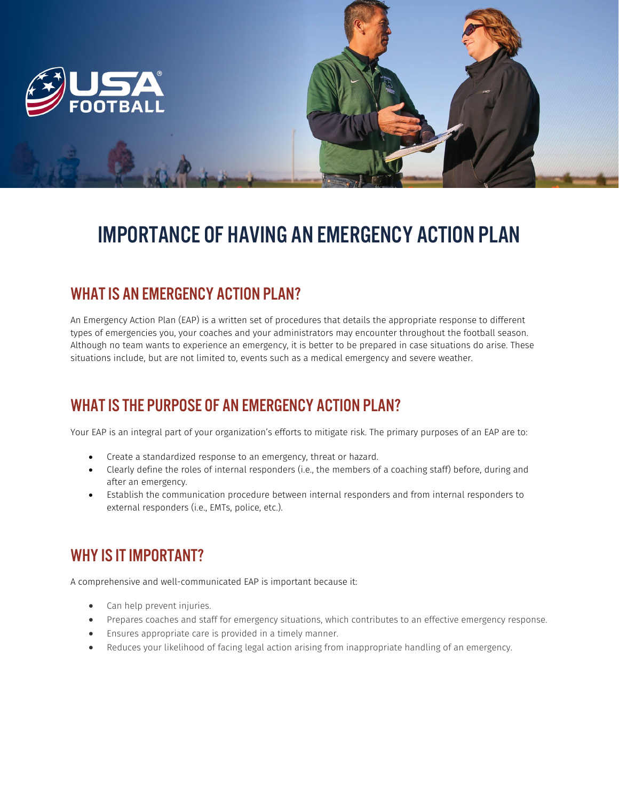



# IMPORTANCE OF HAVING AN EMERGENCY ACTION PLAN

## WHAT IS AN EMERGENCY ACTION PLAN?

An Emergency Action Plan (EAP) is a written set of procedures that details the appropriate response to different types of emergencies you, your coaches and your administrators may encounter throughout the football season. Although no team wants to experience an emergency, it is better to be prepared in case situations do arise. These situations include, but are not limited to, events such as a medical emergency and severe weather.

# WHAT IS THE PURPOSE OF AN EMERGENCY ACTION PLAN?

Your EAP is an integral part of your organization's efforts to mitigate risk. The primary purposes of an EAP are to:

- Create a standardized response to an emergency, threat or hazard.
- Clearly define the roles of internal responders (i.e., the members of a coaching staff) before, during and after an emergency.
- Establish the communication procedure between internal responders and from internal responders to external responders (i.e., EMTs, police, etc.).

### WHY IS IT IMPORTANT?

A comprehensive and well-communicated EAP is important because it:

- Can help prevent injuries.
- Prepares coaches and staff for emergency situations, which contributes to an effective emergency response.
- Ensures appropriate care is provided in a timely manner.
- Reduces your likelihood of facing legal action arising from inappropriate handling of an emergency.